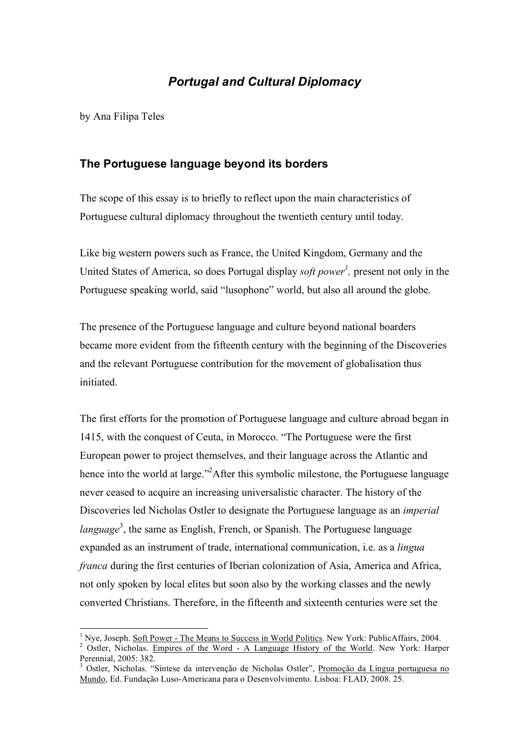## *Portugal and Cultural Diplomacy*

by Ana Filipa Teles

### **The Portuguese language beyond its borders**

The scope of this essay is to briefly to reflect upon the main characteristics of Portuguese cultural diplomacy throughout the twentieth century until today.

Like big western powers such as France, the United Kingdom, Germany and the United States of America, so does Portugal display *soft power<sup>1</sup>*, present not only in the Portuguese speaking world, said "lusophone" world, but also all around the globe.

The presence of the Portuguese language and culture beyond national boarders became more evident from the fifteenth century with the beginning of the Discoveries and the relevant Portuguese contribution for the movement of globalisation thus initiated.

The first efforts for the promotion of Portuguese language and culture abroad began in 1415, with the conquest of Ceuta, in Morocco. "The Portuguese were the first European power to project themselves, and their language across the Atlantic and hence into the world at large."<sup>2</sup>After this symbolic milestone, the Portuguese language never ceased to acquire an increasing universalistic character. The history of the Discoveries led Nicholas Ostler to designate the Portuguese language as an *imperial language* 3 , the same as English, French, or Spanish. The Portuguese language expanded as an instrument of trade, international communication, i.e. as a *lingua franca* during the first centuries of Iberian colonization of Asia, America and Africa, not only spoken by local elites but soon also by the working classes and the newly converted Christians. Therefore, in the fifteenth and sixteenth centuries were set the

<sup>&</sup>lt;sup>1</sup> Nye, Joseph. <u>Soft Power - The Means to Success in World Politics</u>. New York: PublicAffairs, 2004.<br><sup>2</sup> Ostler, Nicholas. Empi<u>res of the Word - A Language History of the World</u>. New York: Harper

Perennial, 2005: 382.<br><sup>3</sup> Ostler, Nicholas. "Síntese da intervenção de Nicholas Ostler", <u>Promoção da Língua portuguesa no</u>

Mundo, Ed. Fundação Luso-Americana para o Desenvolvimento. Lisboa: FLAD, 2008. 25.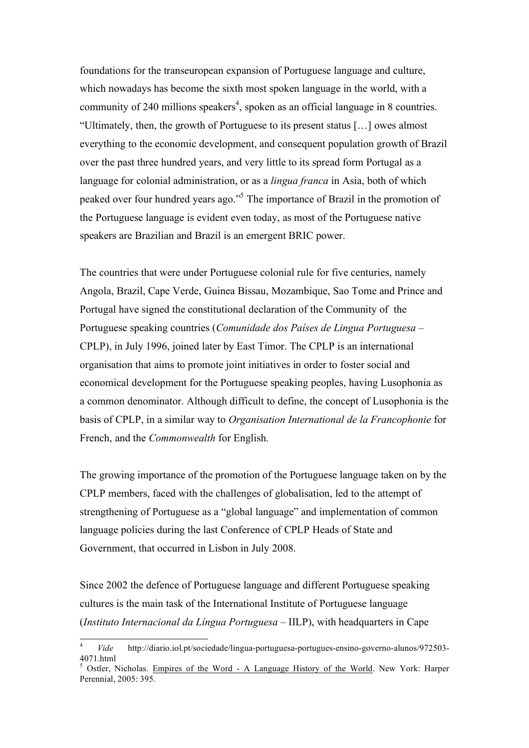foundations for the transeuropean expansion of Portuguese language and culture, which nowadays has become the sixth most spoken language in the world, with a community of 240 millions speakers<sup>4</sup>, spoken as an official language in 8 countries. "Ultimately, then, the growth of Portuguese to its present status […] owes almost everything to the economic development, and consequent population growth of Brazil over the past three hundred years, and very little to its spread form Portugal as a language for colonial administration, or as a *lingua franca* in Asia, both of which peaked over four hundred years ago." <sup>5</sup> The importance of Brazil in the promotion of the Portuguese language is evident even today, as most of the Portuguese native speakers are Brazilian and Brazil is an emergent BRIC power.

The countries that were under Portuguese colonial rule for five centuries, namely Angola, Brazil, Cape Verde, Guinea Bissau, Mozambique, Sao Tome and Prince and Portugal have signed the constitutional declaration of the Community of the Portuguese speaking countries (*Comunidade dos Países de Lingua Portuguesa* – CPLP), in July 1996, joined later by East Timor. The CPLP is an international organisation that aims to promote joint initiatives in order to foster social and economical development for the Portuguese speaking peoples, having Lusophonia as a common denominator. Although difficult to define, the concept of Lusophonia is the basis of CPLP, in a similar way to *Organisation International de la Francophonie* for French, and the *Commonwealth* for English.

The growing importance of the promotion of the Portuguese language taken on by the CPLP members, faced with the challenges of globalisation, led to the attempt of strengthening of Portuguese as a "global language" and implementation of common language policies during the last Conference of CPLP Heads of State and Government, that occurred in Lisbon in July 2008.

Since 2002 the defence of Portuguese language and different Portuguese speaking cultures is the main task of the International Institute of Portuguese language (*Instituto Internacional da Língua Portuguesa* – IILP), with headquarters in Cape

<sup>&</sup>lt;sup>4</sup> *Vide* http://diario.iol.pt/sociedade/lingua-portuguesa-portugues-ensino-governo-alunos/972503-4071 html

 $5$  Ostler, Nicholas. Empires of the Word - A Language History of the World. New York: Harper Perennial, 2005: 395.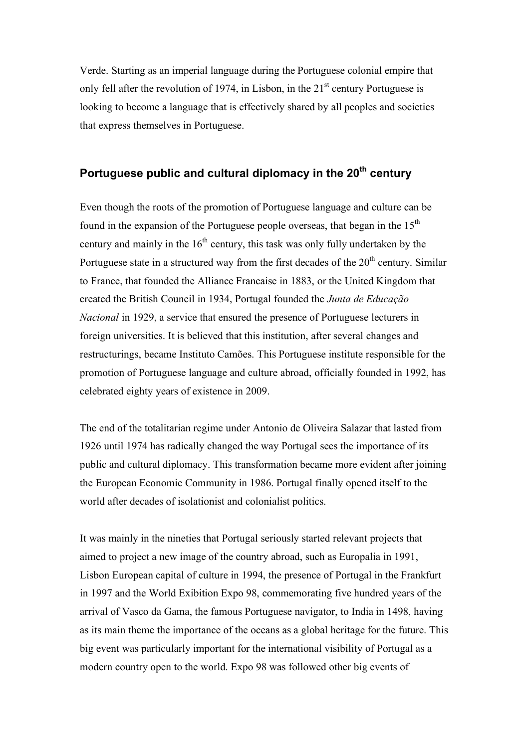Verde. Starting as an imperial language during the Portuguese colonial empire that only fell after the revolution of 1974, in Lisbon, in the  $21<sup>st</sup>$  century Portuguese is looking to become a language that is effectively shared by all peoples and societies that express themselves in Portuguese.

## **Portuguese public and cultural diplomacy in the 20<sup>th</sup> century**

Even though the roots of the promotion of Portuguese language and culture can be found in the expansion of the Portuguese people overseas, that began in the  $15<sup>th</sup>$ century and mainly in the  $16<sup>th</sup>$  century, this task was only fully undertaken by the Portuguese state in a structured way from the first decades of the  $20<sup>th</sup>$  century. Similar to France, that founded the Alliance Francaise in 1883, or the United Kingdom that created the British Council in 1934, Portugal founded the *Junta de Educação Nacional* in 1929, a service that ensured the presence of Portuguese lecturers in foreign universities. It is believed that this institution, after several changes and restructurings, became Instituto Camões. This Portuguese institute responsible for the promotion of Portuguese language and culture abroad, officially founded in 1992, has celebrated eighty years of existence in 2009.

The end of the totalitarian regime under Antonio de Oliveira Salazar that lasted from 1926 until 1974 has radically changed the way Portugal sees the importance of its public and cultural diplomacy. This transformation became more evident after joining the European Economic Community in 1986. Portugal finally opened itself to the world after decades of isolationist and colonialist politics.

It was mainly in the nineties that Portugal seriously started relevant projects that aimed to project a new image of the country abroad, such as Europalia in 1991, Lisbon European capital of culture in 1994, the presence of Portugal in the Frankfurt in 1997 and the World Exibition Expo 98, commemorating five hundred years of the arrival of Vasco da Gama, the famous Portuguese navigator, to India in 1498, having as its main theme the importance of the oceans as a global heritage for the future. This big event was particularly important for the international visibility of Portugal as a modern country open to the world. Expo 98 was followed other big events of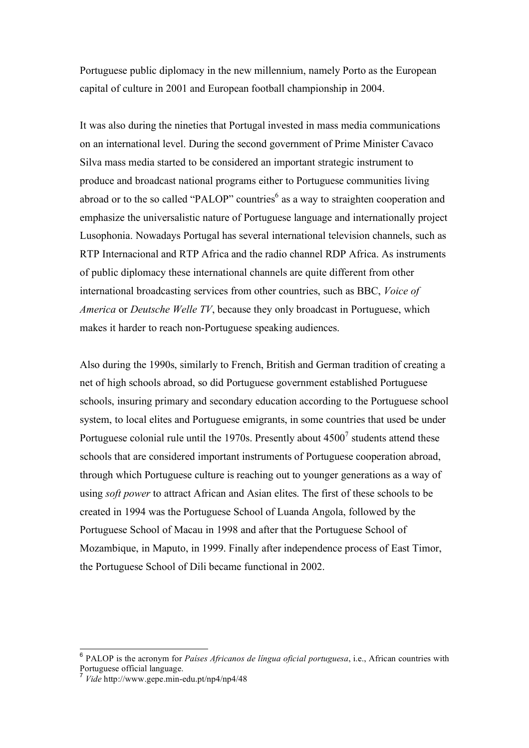Portuguese public diplomacy in the new millennium, namely Porto as the European capital of culture in 2001 and European football championship in 2004.

It was also during the nineties that Portugal invested in mass media communications on an international level. During the second government of Prime Minister Cavaco Silva mass media started to be considered an important strategic instrument to produce and broadcast national programs either to Portuguese communities living abroad or to the so called "PALOP" countries<sup>6</sup> as a way to straighten cooperation and emphasize the universalistic nature of Portuguese language and internationally project Lusophonia. Nowadays Portugal has several international television channels, such as RTP Internacional and RTP Africa and the radio channel RDP Africa. As instruments of public diplomacy these international channels are quite different from other international broadcasting services from other countries, such as BBC, *Voice of America* or *Deutsche Welle TV*, because they only broadcast in Portuguese, which makes it harder to reach non-Portuguese speaking audiences.

Also during the 1990s, similarly to French, British and German tradition of creating a net of high schools abroad, so did Portuguese government established Portuguese schools, insuring primary and secondary education according to the Portuguese school system, to local elites and Portuguese emigrants, in some countries that used be under Portuguese colonial rule until the 1970s. Presently about  $4500^7$  students attend these schools that are considered important instruments of Portuguese cooperation abroad, through which Portuguese culture is reaching out to younger generations as a way of using *soft power* to attract African and Asian elites. The first of these schools to be created in 1994 was the Portuguese School of Luanda Angola, followed by the Portuguese School of Macau in 1998 and after that the Portuguese School of Mozambique, in Maputo, in 1999. Finally after independence process of East Timor, the Portuguese School of Dili became functional in 2002.

 <sup>6</sup> PALOP is the acronym for *Países Africanos de língua oficial portuguesa*, i.e., African countries with

Portuguese official language. <sup>7</sup> *Vide* http://www.gepe.min-edu.pt/np4/np4/48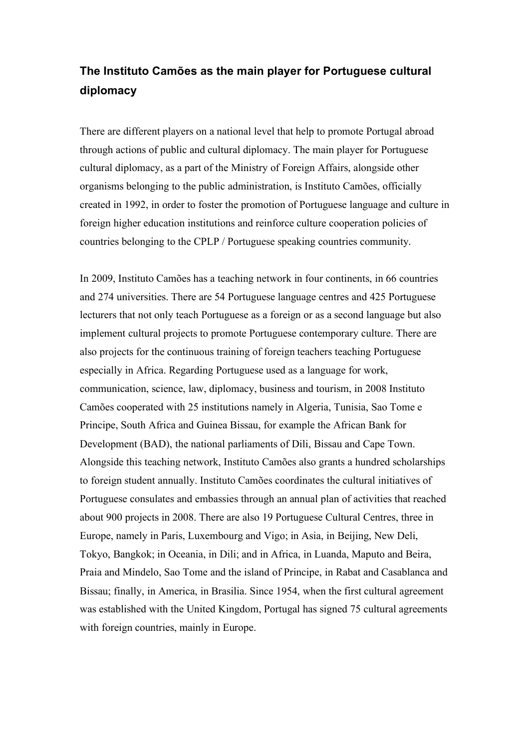# **The Instituto Camões as the main player for Portuguese cultural diplomacy**

There are different players on a national level that help to promote Portugal abroad through actions of public and cultural diplomacy. The main player for Portuguese cultural diplomacy, as a part of the Ministry of Foreign Affairs, alongside other organisms belonging to the public administration, is Instituto Camões, officially created in 1992, in order to foster the promotion of Portuguese language and culture in foreign higher education institutions and reinforce culture cooperation policies of countries belonging to the CPLP / Portuguese speaking countries community.

In 2009, Instituto Camões has a teaching network in four continents, in 66 countries and 274 universities. There are 54 Portuguese language centres and 425 Portuguese lecturers that not only teach Portuguese as a foreign or as a second language but also implement cultural projects to promote Portuguese contemporary culture. There are also projects for the continuous training of foreign teachers teaching Portuguese especially in Africa. Regarding Portuguese used as a language for work, communication, science, law, diplomacy, business and tourism, in 2008 Instituto Camões cooperated with 25 institutions namely in Algeria, Tunisia, Sao Tome e Principe, South Africa and Guinea Bissau, for example the African Bank for Development (BAD), the national parliaments of Dili, Bissau and Cape Town. Alongside this teaching network, Instituto Camões also grants a hundred scholarships to foreign student annually. Instituto Camões coordinates the cultural initiatives of Portuguese consulates and embassies through an annual plan of activities that reached about 900 projects in 2008. There are also 19 Portuguese Cultural Centres, three in Europe, namely in Paris, Luxembourg and Vigo; in Asia, in Beijing, New Deli, Tokyo, Bangkok; in Oceania, in Dili; and in Africa, in Luanda, Maputo and Beira, Praia and Mindelo, Sao Tome and the island of Principe, in Rabat and Casablanca and Bissau; finally, in America, in Brasilia. Since 1954, when the first cultural agreement was established with the United Kingdom, Portugal has signed 75 cultural agreements with foreign countries, mainly in Europe.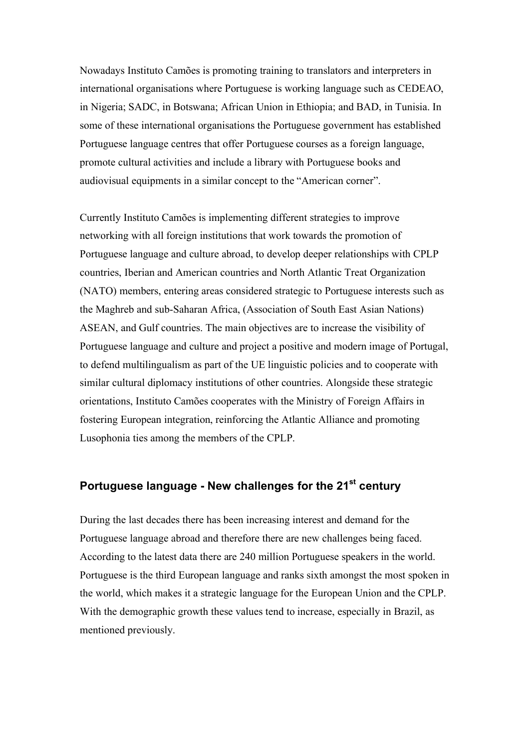Nowadays Instituto Camões is promoting training to translators and interpreters in international organisations where Portuguese is working language such as CEDEAO, in Nigeria; SADC, in Botswana; African Union in Ethiopia; and BAD, in Tunisia. In some of these international organisations the Portuguese government has established Portuguese language centres that offer Portuguese courses as a foreign language, promote cultural activities and include a library with Portuguese books and audiovisual equipments in a similar concept to the "American corner".

Currently Instituto Camões is implementing different strategies to improve networking with all foreign institutions that work towards the promotion of Portuguese language and culture abroad, to develop deeper relationships with CPLP countries, Iberian and American countries and North Atlantic Treat Organization (NATO) members, entering areas considered strategic to Portuguese interests such as the Maghreb and sub-Saharan Africa, (Association of South East Asian Nations) ASEAN, and Gulf countries. The main objectives are to increase the visibility of Portuguese language and culture and project a positive and modern image of Portugal, to defend multilingualism as part of the UE linguistic policies and to cooperate with similar cultural diplomacy institutions of other countries. Alongside these strategic orientations, Instituto Camões cooperates with the Ministry of Foreign Affairs in fostering European integration, reinforcing the Atlantic Alliance and promoting Lusophonia ties among the members of the CPLP.

### **Portuguese language - New challenges for the 21st century**

During the last decades there has been increasing interest and demand for the Portuguese language abroad and therefore there are new challenges being faced. According to the latest data there are 240 million Portuguese speakers in the world. Portuguese is the third European language and ranks sixth amongst the most spoken in the world, which makes it a strategic language for the European Union and the CPLP. With the demographic growth these values tend to increase, especially in Brazil, as mentioned previously.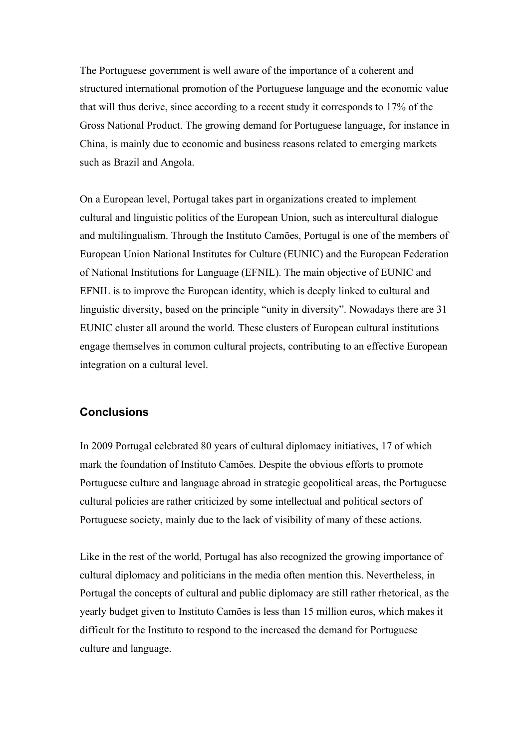The Portuguese government is well aware of the importance of a coherent and structured international promotion of the Portuguese language and the economic value that will thus derive, since according to a recent study it corresponds to 17% of the Gross National Product. The growing demand for Portuguese language, for instance in China, is mainly due to economic and business reasons related to emerging markets such as Brazil and Angola.

On a European level, Portugal takes part in organizations created to implement cultural and linguistic politics of the European Union, such as intercultural dialogue and multilingualism. Through the Instituto Camões, Portugal is one of the members of European Union National Institutes for Culture (EUNIC) and the European Federation of National Institutions for Language (EFNIL). The main objective of EUNIC and EFNIL is to improve the European identity, which is deeply linked to cultural and linguistic diversity, based on the principle "unity in diversity". Nowadays there are 31 EUNIC cluster all around the world. These clusters of European cultural institutions engage themselves in common cultural projects, contributing to an effective European integration on a cultural level.

### **Conclusions**

In 2009 Portugal celebrated 80 years of cultural diplomacy initiatives, 17 of which mark the foundation of Instituto Camões. Despite the obvious efforts to promote Portuguese culture and language abroad in strategic geopolitical areas, the Portuguese cultural policies are rather criticized by some intellectual and political sectors of Portuguese society, mainly due to the lack of visibility of many of these actions.

Like in the rest of the world, Portugal has also recognized the growing importance of cultural diplomacy and politicians in the media often mention this. Nevertheless, in Portugal the concepts of cultural and public diplomacy are still rather rhetorical, as the yearly budget given to Instituto Camões is less than 15 million euros, which makes it difficult for the Instituto to respond to the increased the demand for Portuguese culture and language.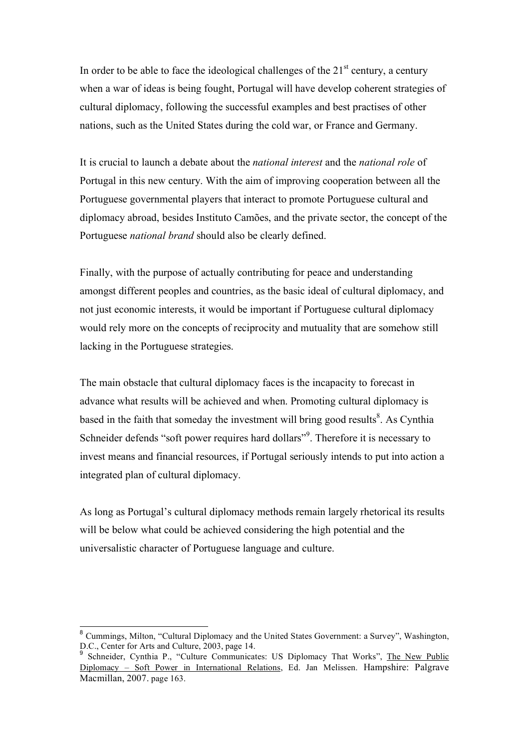In order to be able to face the ideological challenges of the  $21<sup>st</sup>$  century, a century when a war of ideas is being fought, Portugal will have develop coherent strategies of cultural diplomacy, following the successful examples and best practises of other nations, such as the United States during the cold war, or France and Germany.

It is crucial to launch a debate about the *national interest* and the *national role* of Portugal in this new century. With the aim of improving cooperation between all the Portuguese governmental players that interact to promote Portuguese cultural and diplomacy abroad, besides Instituto Camões, and the private sector, the concept of the Portuguese *national brand* should also be clearly defined.

Finally, with the purpose of actually contributing for peace and understanding amongst different peoples and countries, as the basic ideal of cultural diplomacy, and not just economic interests, it would be important if Portuguese cultural diplomacy would rely more on the concepts of reciprocity and mutuality that are somehow still lacking in the Portuguese strategies.

The main obstacle that cultural diplomacy faces is the incapacity to forecast in advance what results will be achieved and when. Promoting cultural diplomacy is based in the faith that someday the investment will bring good results<sup>8</sup>. As Cynthia Schneider defends "soft power requires hard dollars"<sup>9</sup>. Therefore it is necessary to invest means and financial resources, if Portugal seriously intends to put into action a integrated plan of cultural diplomacy.

As long as Portugal's cultural diplomacy methods remain largely rhetorical its results will be below what could be achieved considering the high potential and the universalistic character of Portuguese language and culture.

<sup>&</sup>lt;sup>8</sup> Cummings, Milton, "Cultural Diplomacy and the United States Government: a Survey", Washington,  $D.C.,$  Center for Arts and Culture, 2003, page 14.

Schneider, Cynthia P., "Culture Communicates: US Diplomacy That Works", The New Public Diplomacy – Soft Power in International Relations, Ed. Jan Melissen. Hampshire: Palgrave Macmillan, 2007. page 163.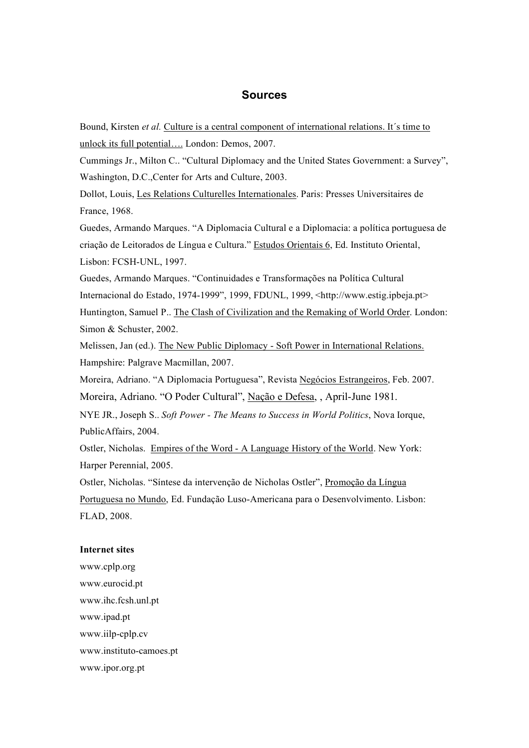#### **Sources**

Bound, Kirsten *et al.* Culture is a central component of international relations. It´s time to unlock its full potential…. London: Demos, 2007.

Cummings Jr., Milton C.. "Cultural Diplomacy and the United States Government: a Survey", Washington, D.C.,Center for Arts and Culture, 2003.

Dollot, Louis, Les Relations Culturelles Internationales. Paris: Presses Universitaires de France, 1968.

Guedes, Armando Marques. "A Diplomacia Cultural e a Diplomacia: a política portuguesa de criação de Leitorados de Língua e Cultura." Estudos Orientais 6, Ed. Instituto Oriental, Lisbon: FCSH-UNL, 1997.

Guedes, Armando Marques. "Continuidades e Transformações na Política Cultural Internacional do Estado, 1974-1999", 1999, FDUNL, 1999, <http://www.estig.ipbeja.pt> Huntington, Samuel P.. The Clash of Civilization and the Remaking of World Order. London: Simon & Schuster, 2002.

Melissen, Jan (ed.). The New Public Diplomacy - Soft Power in International Relations. Hampshire: Palgrave Macmillan, 2007.

Moreira, Adriano. "A Diplomacia Portuguesa", Revista Negócios Estrangeiros, Feb. 2007. Moreira, Adriano. "O Poder Cultural", Nação e Defesa, , April-June 1981.

NYE JR., Joseph S.. *Soft Power - The Means to Success in World Politics*, Nova Iorque, PublicAffairs, 2004.

Ostler, Nicholas. Empires of the Word - A Language History of the World. New York: Harper Perennial, 2005.

Ostler, Nicholas. "Síntese da intervenção de Nicholas Ostler", Promoção da Língua Portuguesa no Mundo, Ed. Fundação Luso-Americana para o Desenvolvimento. Lisbon: FLAD, 2008.

#### **Internet sites**

www.cplp.org www.eurocid.pt www.ihc.fcsh.unl.pt www.ipad.pt www.iilp-cplp.cv www.instituto-camoes.pt www.ipor.org.pt